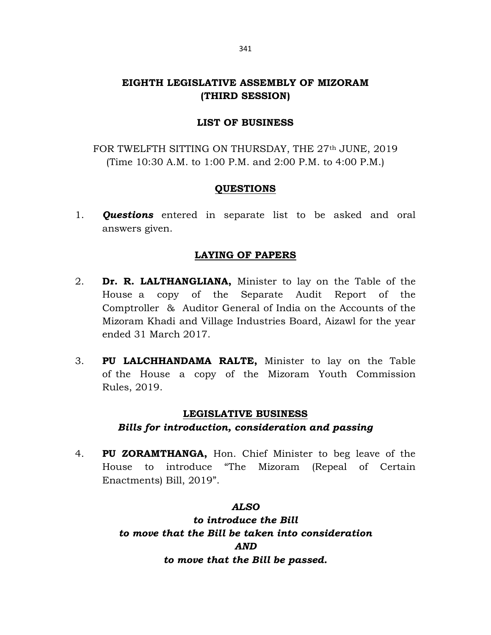## EIGHTH LEGISLATIVE ASSEMBLY OF MIZORAM (THIRD SESSION)

## LIST OF BUSINESS

FOR TWELFTH SITTING ON THURSDAY, THE 27<sup>th</sup> JUNE, 2019 (Time 10:30 A.M. to 1:00 P.M. and 2:00 P.M. to 4:00 P.M.)

### QUESTIONS

1. **Questions** entered in separate list to be asked and oral answers given.

## LAYING OF PAPERS

- 2. Dr. R. LALTHANGLIANA, Minister to lay on the Table of the House a copy of the Separate Audit Report of the Comptroller & Auditor General of India on the Accounts of the Mizoram Khadi and Village Industries Board, Aizawl for the year ended 31 March 2017.
- 3. PU LALCHHANDAMA RALTE, Minister to lay on the Table of the House a copy of the Mizoram Youth Commission Rules, 2019.

### LEGISLATIVE BUSINESS

## Bills for introduction, consideration and passing

4. PU ZORAMTHANGA, Hon. Chief Minister to beg leave of the House to introduce "The Mizoram (Repeal of Certain Enactments) Bill, 2019".

## ALSO

to introduce the Bill to move that the Bill be taken into consideration AND to move that the Bill be passed.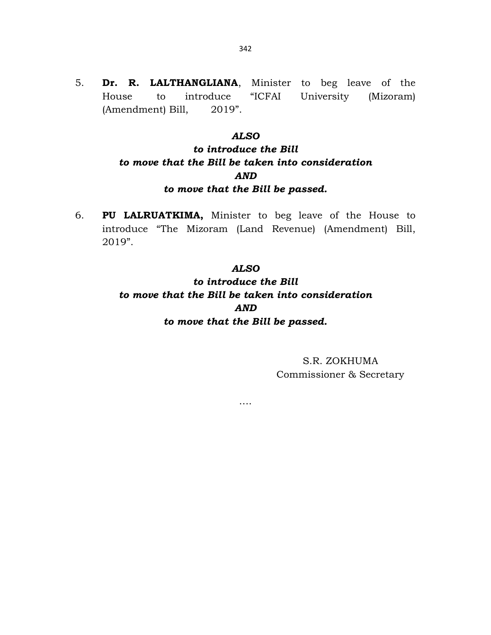5. Dr. R. LALTHANGLIANA, Minister to beg leave of the House to introduce "ICFAI University (Mizoram) (Amendment) Bill, 2019".

### ALSO

# to introduce the Bill to move that the Bill be taken into consideration AND to move that the Bill be passed.

6. PU LALRUATKIMA, Minister to beg leave of the House to introduce "The Mizoram (Land Revenue) (Amendment) Bill, 2019".

### ALSO

to introduce the Bill to move that the Bill be taken into consideration AND to move that the Bill be passed.

….

S.R. ZOKHUMA Commissioner & Secretary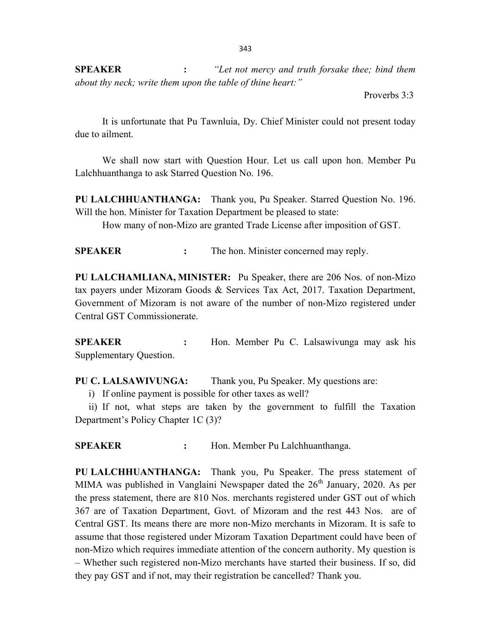SPEAKER : "Let not mercy and truth forsake thee; bind them about thy neck; write them upon the table of thine heart:"

Proverbs 3:3

 It is unfortunate that Pu Tawnluia, Dy. Chief Minister could not present today due to ailment.

 We shall now start with Question Hour. Let us call upon hon. Member Pu Lalchhuanthanga to ask Starred Question No. 196.

PU LALCHHUANTHANGA: Thank you, Pu Speaker. Starred Question No. 196. Will the hon. Minister for Taxation Department be pleased to state:

How many of non-Mizo are granted Trade License after imposition of GST.

SPEAKER : The hon. Minister concerned may reply.

PU LALCHAMLIANA, MINISTER: Pu Speaker, there are 206 Nos. of non-Mizo tax payers under Mizoram Goods & Services Tax Act, 2017. Taxation Department, Government of Mizoram is not aware of the number of non-Mizo registered under Central GST Commissionerate.

SPEAKER : Hon. Member Pu C. Lalsawivunga may ask his Supplementary Question.

PU C. LALSAWIVUNGA: Thank you, Pu Speaker. My questions are:

i) If online payment is possible for other taxes as well?

ii) If not, what steps are taken by the government to fulfill the Taxation Department's Policy Chapter 1C (3)?

SPEAKER : Hon. Member Pu Lalchhuanthanga.

PU LALCHHUANTHANGA: Thank you, Pu Speaker. The press statement of MIMA was published in Vanglaini Newspaper dated the  $26<sup>th</sup>$  January, 2020. As per the press statement, there are 810 Nos. merchants registered under GST out of which 367 are of Taxation Department, Govt. of Mizoram and the rest 443 Nos. are of Central GST. Its means there are more non-Mizo merchants in Mizoram. It is safe to assume that those registered under Mizoram Taxation Department could have been of non-Mizo which requires immediate attention of the concern authority. My question is – Whether such registered non-Mizo merchants have started their business. If so, did they pay GST and if not, may their registration be cancelled? Thank you.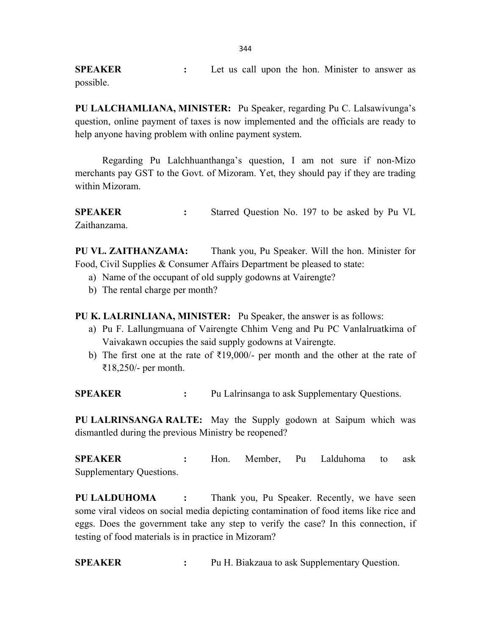SPEAKER : Let us call upon the hon. Minister to answer as possible.

PU LALCHAMLIANA, MINISTER: Pu Speaker, regarding Pu C. Lalsawivunga's question, online payment of taxes is now implemented and the officials are ready to help anyone having problem with online payment system.

 Regarding Pu Lalchhuanthanga's question, I am not sure if non-Mizo merchants pay GST to the Govt. of Mizoram. Yet, they should pay if they are trading within Mizoram.

SPEAKER : Starred Question No. 197 to be asked by Pu VL Zaithanzama.

PU VL. ZAITHANZAMA: Thank you, Pu Speaker. Will the hon. Minister for Food, Civil Supplies & Consumer Affairs Department be pleased to state:

- a) Name of the occupant of old supply godowns at Vairengte?
- b) The rental charge per month?

PU K. LALRINLIANA, MINISTER: Pu Speaker, the answer is as follows:

- a) Pu F. Lallungmuana of Vairengte Chhim Veng and Pu PC Vanlalruatkima of Vaivakawn occupies the said supply godowns at Vairengte.
- b) The first one at the rate of  $\text{\textsterling}19,000/-$  per month and the other at the rate of ₹18,250/- per month.

SPEAKER : Pu Lalrinsanga to ask Supplementary Ouestions.

PU LALRINSANGA RALTE: May the Supply godown at Saipum which was dismantled during the previous Ministry be reopened?

SPEAKER : Hon. Member, Pu Lalduhoma to ask Supplementary Questions.

PU LALDUHOMA : Thank you, Pu Speaker. Recently, we have seen some viral videos on social media depicting contamination of food items like rice and eggs. Does the government take any step to verify the case? In this connection, if testing of food materials is in practice in Mizoram?

SPEAKER : Pu H. Biakzaua to ask Supplementary Question.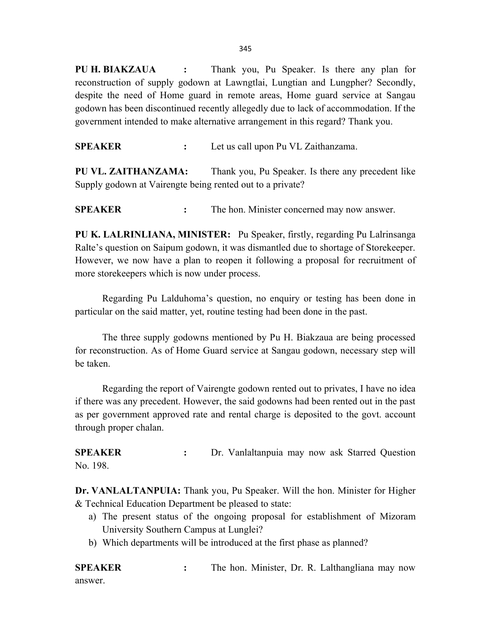345

PU H. BIAKZAUA : Thank you, Pu Speaker. Is there any plan for reconstruction of supply godown at Lawngtlai, Lungtian and Lungpher? Secondly, despite the need of Home guard in remote areas, Home guard service at Sangau godown has been discontinued recently allegedly due to lack of accommodation. If the government intended to make alternative arrangement in this regard? Thank you.

SPEAKER : Let us call upon Pu VL Zaithanzama.

PU VL. ZAITHANZAMA: Thank you, Pu Speaker. Is there any precedent like Supply godown at Vairengte being rented out to a private?

**SPEAKER** : The hon. Minister concerned may now answer.

PU K. LALRINLIANA, MINISTER: Pu Speaker, firstly, regarding Pu Lalrinsanga Ralte's question on Saipum godown, it was dismantled due to shortage of Storekeeper. However, we now have a plan to reopen it following a proposal for recruitment of more storekeepers which is now under process.

 Regarding Pu Lalduhoma's question, no enquiry or testing has been done in particular on the said matter, yet, routine testing had been done in the past.

 The three supply godowns mentioned by Pu H. Biakzaua are being processed for reconstruction. As of Home Guard service at Sangau godown, necessary step will be taken.

 Regarding the report of Vairengte godown rented out to privates, I have no idea if there was any precedent. However, the said godowns had been rented out in the past as per government approved rate and rental charge is deposited to the govt. account through proper chalan.

SPEAKER : Dr. Vanlaltanpuia may now ask Starred Question No. 198.

Dr. VANLALTANPUIA: Thank you, Pu Speaker. Will the hon. Minister for Higher & Technical Education Department be pleased to state:

- a) The present status of the ongoing proposal for establishment of Mizoram University Southern Campus at Lunglei?
- b) Which departments will be introduced at the first phase as planned?

**SPEAKER** : The hon. Minister, Dr. R. Lalthangliana may now answer.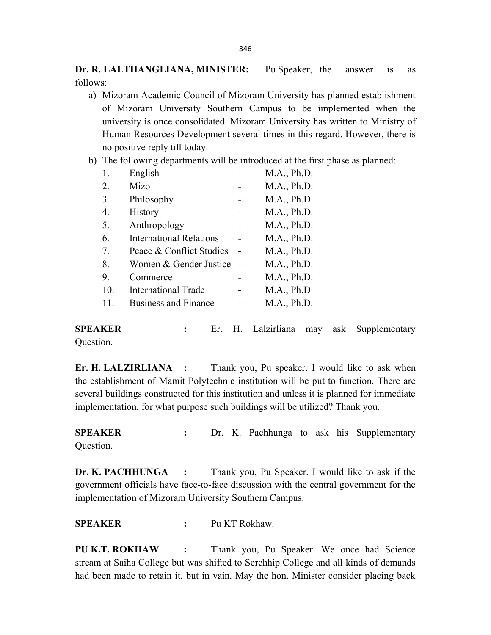Dr. R. LALTHANGLIANA, MINISTER: Pu Speaker, the answer is as follows:

- a) Mizoram Academic Council of Mizoram University has planned establishment of Mizoram University Southern Campus to be implemented when the university is once consolidated. Mizoram University has written to Ministry of Human Resources Development several times in this regard. However, there is no positive reply till today.
- b) The following departments will be introduced at the first phase as planned:

| 1.  | English                        | M.A., Ph.D. |
|-----|--------------------------------|-------------|
| 2.  | Mizo                           | M.A., Ph.D. |
| 3.  | Philosophy                     | M.A., Ph.D. |
| 4.  | <b>History</b>                 | M.A., Ph.D. |
| 5.  | Anthropology                   | M.A., Ph.D. |
| 6.  | <b>International Relations</b> | M.A., Ph.D. |
| 7.  | Peace & Conflict Studies       | M.A., Ph.D. |
| 8.  | Women & Gender Justice         | M.A., Ph.D. |
| 9.  | Commerce                       | M.A., Ph.D. |
| 10. | <b>International Trade</b>     | M.A., Ph.D  |
|     | <b>Business and Finance</b>    | M.A., Ph.D. |

SPEAKER : Er. H. Lalzirliana may ask Supplementary Question.

Er. H. LALZIRLIANA : Thank you, Pu speaker. I would like to ask when the establishment of Mamit Polytechnic institution will be put to function. There are several buildings constructed for this institution and unless it is planned for immediate implementation, for what purpose such buildings will be utilized? Thank you.

SPEAKER : Dr. K. Pachhunga to ask his Supplementary Question.

Dr. K. PACHHUNGA : Thank you, Pu Speaker. I would like to ask if the government officials have face-to-face discussion with the central government for the implementation of Mizoram University Southern Campus.

SPEAKER : Pu KT Rokhaw.

PU K.T. ROKHAW : Thank you, Pu Speaker. We once had Science stream at Saiha College but was shifted to Serchhip College and all kinds of demands had been made to retain it, but in vain. May the hon. Minister consider placing back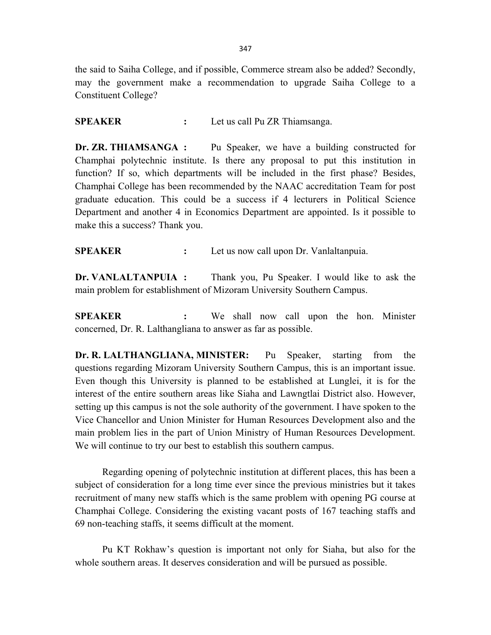the said to Saiha College, and if possible, Commerce stream also be added? Secondly, may the government make a recommendation to upgrade Saiha College to a Constituent College?

### SPEAKER : Let us call Pu ZR Thiamsanga.

Dr. ZR. THIAMSANGA : Pu Speaker, we have a building constructed for Champhai polytechnic institute. Is there any proposal to put this institution in function? If so, which departments will be included in the first phase? Besides, Champhai College has been recommended by the NAAC accreditation Team for post graduate education. This could be a success if 4 lecturers in Political Science Department and another 4 in Economics Department are appointed. Is it possible to make this a success? Thank you.

SPEAKER : Let us now call upon Dr. Vanlaltanpuia.

Dr. VANLALTANPUIA : Thank you, Pu Speaker. I would like to ask the main problem for establishment of Mizoram University Southern Campus.

SPEAKER : We shall now call upon the hon. Minister concerned, Dr. R. Lalthangliana to answer as far as possible.

Dr. R. LALTHANGLIANA, MINISTER: Pu Speaker, starting from the questions regarding Mizoram University Southern Campus, this is an important issue. Even though this University is planned to be established at Lunglei, it is for the interest of the entire southern areas like Siaha and Lawngtlai District also. However, setting up this campus is not the sole authority of the government. I have spoken to the Vice Chancellor and Union Minister for Human Resources Development also and the main problem lies in the part of Union Ministry of Human Resources Development. We will continue to try our best to establish this southern campus.

 Regarding opening of polytechnic institution at different places, this has been a subject of consideration for a long time ever since the previous ministries but it takes recruitment of many new staffs which is the same problem with opening PG course at Champhai College. Considering the existing vacant posts of 167 teaching staffs and 69 non-teaching staffs, it seems difficult at the moment.

 Pu KT Rokhaw's question is important not only for Siaha, but also for the whole southern areas. It deserves consideration and will be pursued as possible.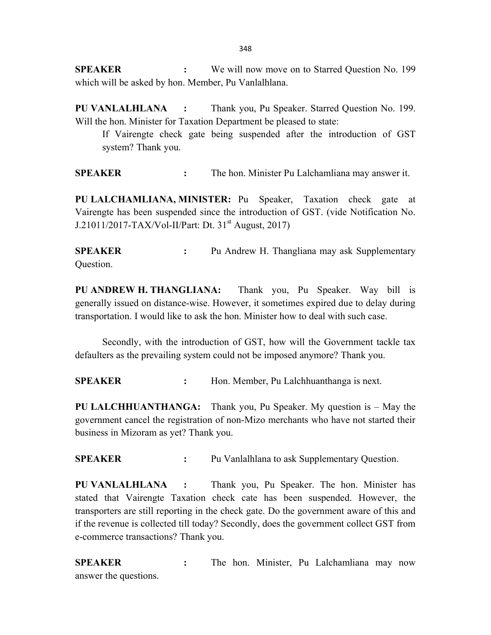SPEAKER : We will now move on to Starred Question No. 199 which will be asked by hon. Member, Pu Vanlalhlana.

PU VANLALHLANA : Thank you, Pu Speaker. Starred Question No. 199. Will the hon. Minister for Taxation Department be pleased to state:

 If Vairengte check gate being suspended after the introduction of GST system? Thank you.

SPEAKER : The hon. Minister Pu Lalchamliana may answer it.

PU LALCHAMLIANA, MINISTER: Pu Speaker, Taxation check gate at Vairengte has been suspended since the introduction of GST. (vide Notification No. J.21011/2017-TAX/Vol-II/Part: Dt.  $31^{st}$  August, 2017)

SPEAKER : Pu Andrew H. Thangliana may ask Supplementary Question.

PU ANDREW H. THANGLIANA: Thank you, Pu Speaker. Way bill is generally issued on distance-wise. However, it sometimes expired due to delay during transportation. I would like to ask the hon. Minister how to deal with such case.

 Secondly, with the introduction of GST, how will the Government tackle tax defaulters as the prevailing system could not be imposed anymore? Thank you.

SPEAKER : Hon. Member, Pu Lalchhuanthanga is next.

PU LALCHHUANTHANGA: Thank you, Pu Speaker. My question is – May the government cancel the registration of non-Mizo merchants who have not started their business in Mizoram as yet? Thank you.

SPEAKER : Pu Vanlalhlana to ask Supplementary Question.

PU VANLALHLANA : Thank you, Pu Speaker. The hon. Minister has stated that Vairengte Taxation check cate has been suspended. However, the transporters are still reporting in the check gate. Do the government aware of this and if the revenue is collected till today? Secondly, does the government collect GST from e-commerce transactions? Thank you.

SPEAKER : The hon. Minister, Pu Lalchamliana may now answer the questions.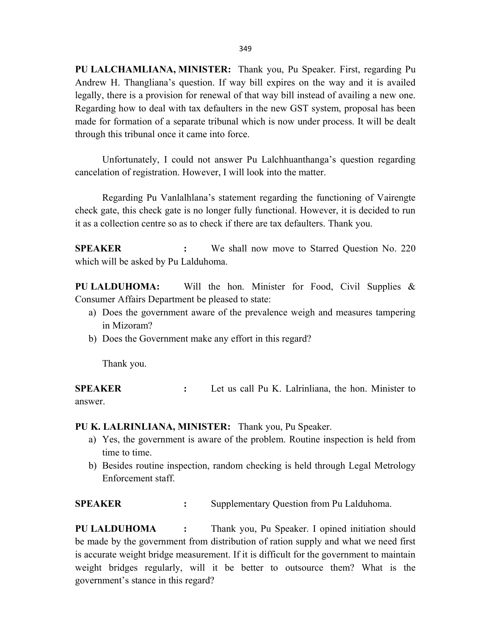PU LALCHAMLIANA, MINISTER: Thank you, Pu Speaker. First, regarding Pu Andrew H. Thangliana's question. If way bill expires on the way and it is availed legally, there is a provision for renewal of that way bill instead of availing a new one. Regarding how to deal with tax defaulters in the new GST system, proposal has been made for formation of a separate tribunal which is now under process. It will be dealt through this tribunal once it came into force.

 Unfortunately, I could not answer Pu Lalchhuanthanga's question regarding cancelation of registration. However, I will look into the matter.

 Regarding Pu Vanlalhlana's statement regarding the functioning of Vairengte check gate, this check gate is no longer fully functional. However, it is decided to run it as a collection centre so as to check if there are tax defaulters. Thank you.

SPEAKER : We shall now move to Starred Question No. 220 which will be asked by Pu Lalduhoma.

PU LALDUHOMA: Will the hon. Minister for Food, Civil Supplies & Consumer Affairs Department be pleased to state:

- a) Does the government aware of the prevalence weigh and measures tampering in Mizoram?
- b) Does the Government make any effort in this regard?

Thank you.

SPEAKER : Let us call Pu K. Lalrinliana, the hon. Minister to answer.

PU K. LALRINLIANA, MINISTER: Thank you, Pu Speaker.

- a) Yes, the government is aware of the problem. Routine inspection is held from time to time.
- b) Besides routine inspection, random checking is held through Legal Metrology Enforcement staff.

SPEAKER : Supplementary Question from Pu Lalduhoma.

PU LALDUHOMA : Thank you, Pu Speaker. I opined initiation should be made by the government from distribution of ration supply and what we need first is accurate weight bridge measurement. If it is difficult for the government to maintain weight bridges regularly, will it be better to outsource them? What is the government's stance in this regard?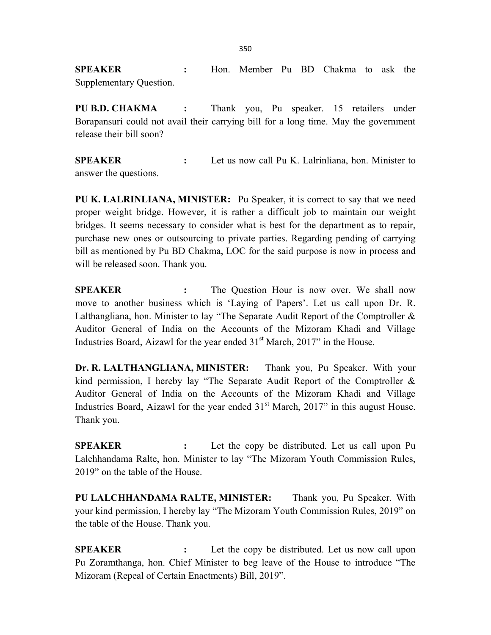SPEAKER : Hon. Member Pu BD Chakma to ask the Supplementary Question.

PU B.D. CHAKMA : Thank you, Pu speaker. 15 retailers under Borapansuri could not avail their carrying bill for a long time. May the government release their bill soon?

SPEAKER : Let us now call Pu K. Lalrinliana, hon. Minister to answer the questions.

PU K. LALRINLIANA, MINISTER: Pu Speaker, it is correct to say that we need proper weight bridge. However, it is rather a difficult job to maintain our weight bridges. It seems necessary to consider what is best for the department as to repair, purchase new ones or outsourcing to private parties. Regarding pending of carrying bill as mentioned by Pu BD Chakma, LOC for the said purpose is now in process and will be released soon. Thank you.

SPEAKER : The Question Hour is now over. We shall now move to another business which is 'Laying of Papers'. Let us call upon Dr. R. Lalthangliana, hon. Minister to lay "The Separate Audit Report of the Comptroller & Auditor General of India on the Accounts of the Mizoram Khadi and Village Industries Board, Aizawl for the year ended  $31<sup>st</sup>$  March, 2017" in the House.

Dr. R. LALTHANGLIANA, MINISTER: Thank you, Pu Speaker. With your kind permission, I hereby lay "The Separate Audit Report of the Comptroller & Auditor General of India on the Accounts of the Mizoram Khadi and Village Industries Board, Aizawl for the year ended  $31<sup>st</sup>$  March, 2017" in this august House. Thank you.

**SPEAKER** : Let the copy be distributed. Let us call upon Pu Lalchhandama Ralte, hon. Minister to lay "The Mizoram Youth Commission Rules, 2019" on the table of the House.

PU LALCHHANDAMA RALTE, MINISTER: Thank you, Pu Speaker. With your kind permission, I hereby lay "The Mizoram Youth Commission Rules, 2019" on the table of the House. Thank you.

**SPEAKER** : Let the copy be distributed. Let us now call upon Pu Zoramthanga, hon. Chief Minister to beg leave of the House to introduce "The Mizoram (Repeal of Certain Enactments) Bill, 2019".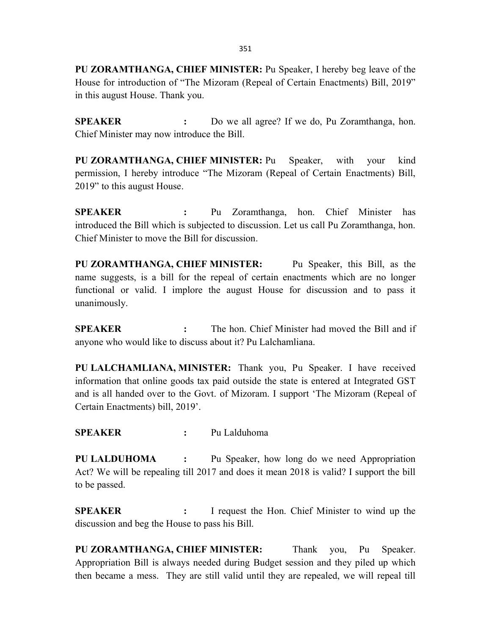PU ZORAMTHANGA, CHIEF MINISTER: Pu Speaker, I hereby beg leave of the House for introduction of "The Mizoram (Repeal of Certain Enactments) Bill, 2019" in this august House. Thank you.

SPEAKER : Do we all agree? If we do, Pu Zoramthanga, hon. Chief Minister may now introduce the Bill.

PU ZORAMTHANGA, CHIEF MINISTER: Pu Speaker, with your kind permission, I hereby introduce "The Mizoram (Repeal of Certain Enactments) Bill, 2019" to this august House.

SPEAKER : Pu Zoramthanga, hon. Chief Minister has introduced the Bill which is subjected to discussion. Let us call Pu Zoramthanga, hon. Chief Minister to move the Bill for discussion.

PU ZORAMTHANGA, CHIEF MINISTER: Pu Speaker, this Bill, as the name suggests, is a bill for the repeal of certain enactments which are no longer functional or valid. I implore the august House for discussion and to pass it unanimously.

SPEAKER : The hon. Chief Minister had moved the Bill and if anyone who would like to discuss about it? Pu Lalchamliana.

PU LALCHAMLIANA, MINISTER: Thank you, Pu Speaker. I have received information that online goods tax paid outside the state is entered at Integrated GST and is all handed over to the Govt. of Mizoram. I support 'The Mizoram (Repeal of Certain Enactments) bill, 2019'.

SPEAKER : Pu Lalduhoma

PU LALDUHOMA : Pu Speaker, how long do we need Appropriation Act? We will be repealing till 2017 and does it mean 2018 is valid? I support the bill to be passed.

SPEAKER : I request the Hon. Chief Minister to wind up the discussion and beg the House to pass his Bill.

PU ZORAMTHANGA, CHIEF MINISTER: Thank you, Pu Speaker. Appropriation Bill is always needed during Budget session and they piled up which then became a mess. They are still valid until they are repealed, we will repeal till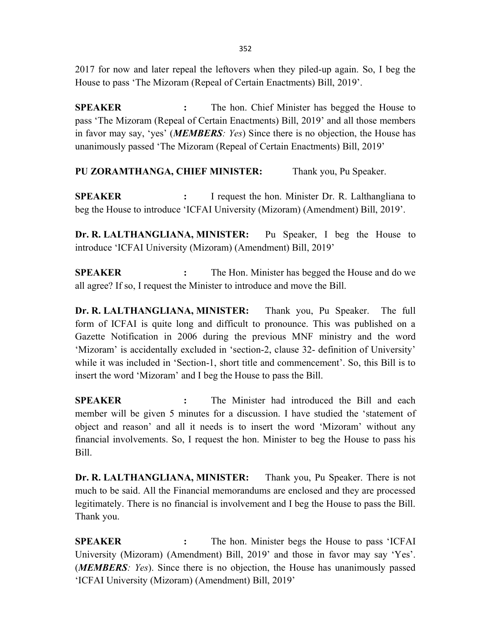2017 for now and later repeal the leftovers when they piled-up again. So, I beg the House to pass 'The Mizoram (Repeal of Certain Enactments) Bill, 2019'.

**SPEAKER** : The hon. Chief Minister has begged the House to pass 'The Mizoram (Repeal of Certain Enactments) Bill, 2019' and all those members in favor may say, 'yes' (**MEMBERS**: Yes) Since there is no objection, the House has unanimously passed 'The Mizoram (Repeal of Certain Enactments) Bill, 2019'

PU ZORAMTHANGA, CHIEF MINISTER: Thank you, Pu Speaker.

SPEAKER : I request the hon. Minister Dr. R. Lalthangliana to beg the House to introduce 'ICFAI University (Mizoram) (Amendment) Bill, 2019'.

Dr. R. LALTHANGLIANA, MINISTER: Pu Speaker, I beg the House to introduce 'ICFAI University (Mizoram) (Amendment) Bill, 2019'

SPEAKER : The Hon. Minister has begged the House and do we all agree? If so, I request the Minister to introduce and move the Bill.

Dr. R. LALTHANGLIANA, MINISTER: Thank you, Pu Speaker. The full form of ICFAI is quite long and difficult to pronounce. This was published on a Gazette Notification in 2006 during the previous MNF ministry and the word 'Mizoram' is accidentally excluded in 'section-2, clause 32- definition of University' while it was included in 'Section-1, short title and commencement'. So, this Bill is to insert the word 'Mizoram' and I beg the House to pass the Bill.

SPEAKER : The Minister had introduced the Bill and each member will be given 5 minutes for a discussion. I have studied the 'statement of object and reason' and all it needs is to insert the word 'Mizoram' without any financial involvements. So, I request the hon. Minister to beg the House to pass his Bill.

Dr. R. LALTHANGLIANA, MINISTER: Thank you, Pu Speaker. There is not much to be said. All the Financial memorandums are enclosed and they are processed legitimately. There is no financial is involvement and I beg the House to pass the Bill. Thank you.

SPEAKER : The hon. Minister begs the House to pass 'ICFAI University (Mizoram) (Amendment) Bill, 2019' and those in favor may say 'Yes'. (**MEMBERS**: Yes). Since there is no objection, the House has unanimously passed 'ICFAI University (Mizoram) (Amendment) Bill, 2019'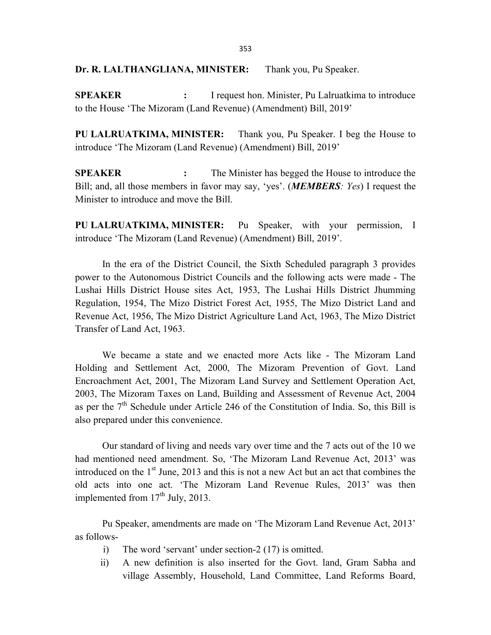#### Dr. R. LALTHANGLIANA, MINISTER: Thank you, Pu Speaker.

SPEAKER : I request hon. Minister, Pu Lalruatkima to introduce to the House 'The Mizoram (Land Revenue) (Amendment) Bill, 2019'

PU LALRUATKIMA, MINISTER: Thank you, Pu Speaker. I beg the House to introduce 'The Mizoram (Land Revenue) (Amendment) Bill, 2019'

**SPEAKER** : The Minister has begged the House to introduce the Bill; and, all those members in favor may say, 'yes'. (**MEMBERS**: Yes) I request the Minister to introduce and move the Bill.

PU LALRUATKIMA, MINISTER: Pu Speaker, with your permission, I introduce 'The Mizoram (Land Revenue) (Amendment) Bill, 2019'.

 In the era of the District Council, the Sixth Scheduled paragraph 3 provides power to the Autonomous District Councils and the following acts were made - The Lushai Hills District House sites Act, 1953, The Lushai Hills District Jhumming Regulation, 1954, The Mizo District Forest Act, 1955, The Mizo District Land and Revenue Act, 1956, The Mizo District Agriculture Land Act, 1963, The Mizo District Transfer of Land Act, 1963.

 We became a state and we enacted more Acts like - The Mizoram Land Holding and Settlement Act, 2000, The Mizoram Prevention of Govt. Land Encroachment Act, 2001, The Mizoram Land Survey and Settlement Operation Act, 2003, The Mizoram Taxes on Land, Building and Assessment of Revenue Act, 2004 as per the  $7<sup>th</sup>$  Schedule under Article 246 of the Constitution of India. So, this Bill is also prepared under this convenience.

 Our standard of living and needs vary over time and the 7 acts out of the 10 we had mentioned need amendment. So, 'The Mizoram Land Revenue Act, 2013' was introduced on the  $1<sup>st</sup>$  June, 2013 and this is not a new Act but an act that combines the old acts into one act. 'The Mizoram Land Revenue Rules, 2013' was then implemented from  $17<sup>th</sup>$  July, 2013.

 Pu Speaker, amendments are made on 'The Mizoram Land Revenue Act, 2013' as follows-

- i) The word 'servant' under section-2 (17) is omitted.
- ii) A new definition is also inserted for the Govt. land, Gram Sabha and village Assembly, Household, Land Committee, Land Reforms Board,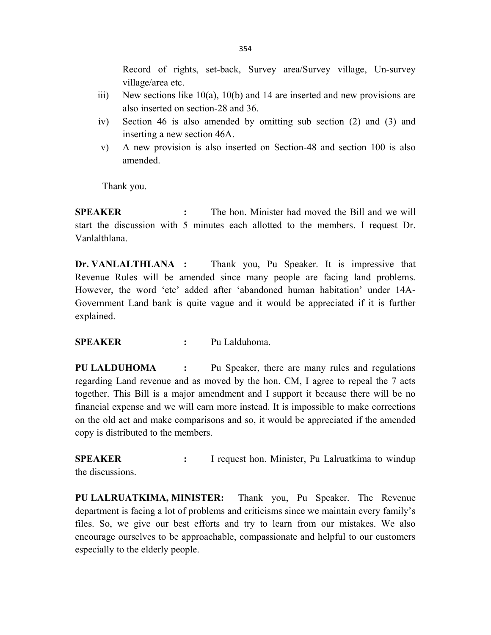Record of rights, set-back, Survey area/Survey village, Un-survey village/area etc.

- iii) New sections like 10(a), 10(b) and 14 are inserted and new provisions are also inserted on section-28 and 36.
- iv) Section 46 is also amended by omitting sub section (2) and (3) and inserting a new section 46A.
- v) A new provision is also inserted on Section-48 and section 100 is also amended.

Thank you.

SPEAKER : The hon. Minister had moved the Bill and we will start the discussion with 5 minutes each allotted to the members. I request Dr. Vanlalthlana.

Dr. VANLALTHLANA : Thank you, Pu Speaker. It is impressive that Revenue Rules will be amended since many people are facing land problems. However, the word 'etc' added after 'abandoned human habitation' under 14A-Government Land bank is quite vague and it would be appreciated if it is further explained.

SPEAKER : Pu Lalduhoma.

PU LALDUHOMA : Pu Speaker, there are many rules and regulations regarding Land revenue and as moved by the hon. CM, I agree to repeal the 7 acts together. This Bill is a major amendment and I support it because there will be no financial expense and we will earn more instead. It is impossible to make corrections on the old act and make comparisons and so, it would be appreciated if the amended copy is distributed to the members.

SPEAKER : I request hon. Minister, Pu Lalruatkima to windup the discussions.

PU LALRUATKIMA, MINISTER: Thank you, Pu Speaker. The Revenue department is facing a lot of problems and criticisms since we maintain every family's files. So, we give our best efforts and try to learn from our mistakes. We also encourage ourselves to be approachable, compassionate and helpful to our customers especially to the elderly people.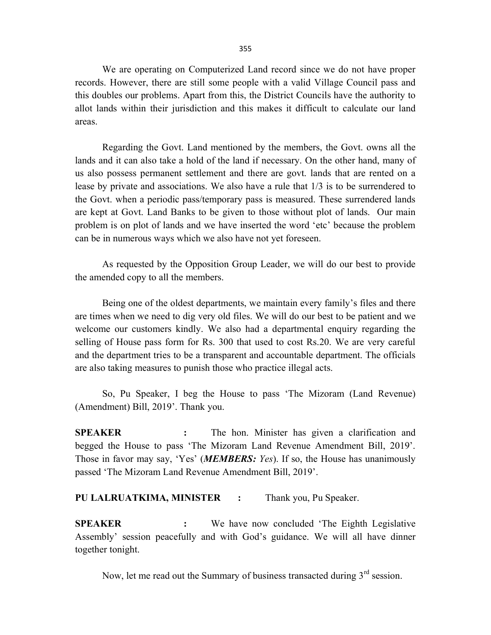We are operating on Computerized Land record since we do not have proper records. However, there are still some people with a valid Village Council pass and this doubles our problems. Apart from this, the District Councils have the authority to allot lands within their jurisdiction and this makes it difficult to calculate our land areas.

 Regarding the Govt. Land mentioned by the members, the Govt. owns all the lands and it can also take a hold of the land if necessary. On the other hand, many of us also possess permanent settlement and there are govt. lands that are rented on a lease by private and associations. We also have a rule that 1/3 is to be surrendered to the Govt. when a periodic pass/temporary pass is measured. These surrendered lands are kept at Govt. Land Banks to be given to those without plot of lands. Our main problem is on plot of lands and we have inserted the word 'etc' because the problem can be in numerous ways which we also have not yet foreseen.

 As requested by the Opposition Group Leader, we will do our best to provide the amended copy to all the members.

 Being one of the oldest departments, we maintain every family's files and there are times when we need to dig very old files. We will do our best to be patient and we welcome our customers kindly. We also had a departmental enquiry regarding the selling of House pass form for Rs. 300 that used to cost Rs.20. We are very careful and the department tries to be a transparent and accountable department. The officials are also taking measures to punish those who practice illegal acts.

 So, Pu Speaker, I beg the House to pass 'The Mizoram (Land Revenue) (Amendment) Bill, 2019'. Thank you.

**SPEAKER** : The hon. Minister has given a clarification and begged the House to pass 'The Mizoram Land Revenue Amendment Bill, 2019'. Those in favor may say, 'Yes' (**MEMBERS**: Yes). If so, the House has unanimously passed 'The Mizoram Land Revenue Amendment Bill, 2019'.

### PU LALRUATKIMA, MINISTER : Thank you, Pu Speaker.

SPEAKER : We have now concluded 'The Eighth Legislative Assembly' session peacefully and with God's guidance. We will all have dinner together tonight.

Now, let me read out the Summary of business transacted during  $3<sup>rd</sup>$  session.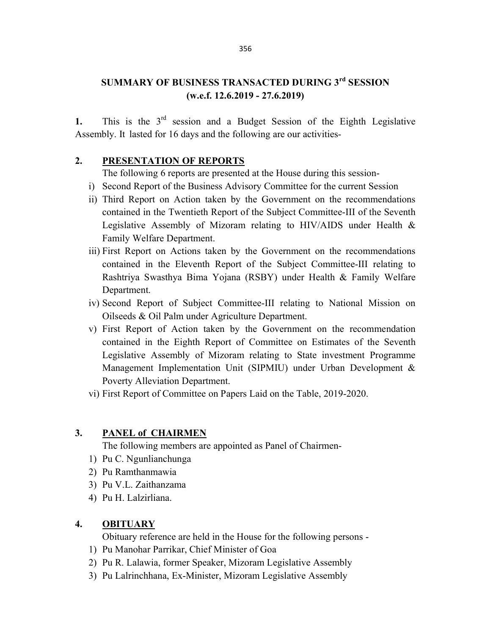## SUMMARY OF BUSINESS TRANSACTED DURING 3rd SESSION (w.e.f. 12.6.2019 - 27.6.2019)

1. This is the  $3<sup>rd</sup>$  session and a Budget Session of the Eighth Legislative Assembly. It lasted for 16 days and the following are our activities-

## 2. PRESENTATION OF REPORTS

The following 6 reports are presented at the House during this session-

- i) Second Report of the Business Advisory Committee for the current Session
- ii) Third Report on Action taken by the Government on the recommendations contained in the Twentieth Report of the Subject Committee-III of the Seventh Legislative Assembly of Mizoram relating to HIV/AIDS under Health & Family Welfare Department.
- iii) First Report on Actions taken by the Government on the recommendations contained in the Eleventh Report of the Subject Committee-III relating to Rashtriya Swasthya Bima Yojana (RSBY) under Health & Family Welfare Department.
- iv) Second Report of Subject Committee-III relating to National Mission on Oilseeds & Oil Palm under Agriculture Department.
- v) First Report of Action taken by the Government on the recommendation contained in the Eighth Report of Committee on Estimates of the Seventh Legislative Assembly of Mizoram relating to State investment Programme Management Implementation Unit (SIPMIU) under Urban Development & Poverty Alleviation Department.
- vi) First Report of Committee on Papers Laid on the Table, 2019-2020.

## 3. PANEL of CHAIRMEN

The following members are appointed as Panel of Chairmen-

- 1) Pu C. Ngunlianchunga
- 2) Pu Ramthanmawia
- 3) Pu V.L. Zaithanzama
- 4) Pu H. Lalzirliana.

## 4. OBITUARY

Obituary reference are held in the House for the following persons -

- 1) Pu Manohar Parrikar, Chief Minister of Goa
- 2) Pu R. Lalawia, former Speaker, Mizoram Legislative Assembly
- 3) Pu Lalrinchhana, Ex-Minister, Mizoram Legislative Assembly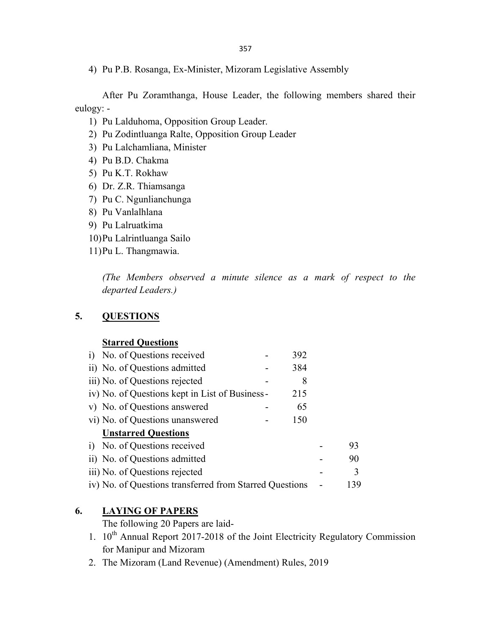357

4) Pu P.B. Rosanga, Ex-Minister, Mizoram Legislative Assembly

 After Pu Zoramthanga, House Leader, the following members shared their eulogy: -

- 1) Pu Lalduhoma, Opposition Group Leader.
- 2) Pu Zodintluanga Ralte, Opposition Group Leader
- 3) Pu Lalchamliana, Minister
- 4) Pu B.D. Chakma
- 5) Pu K.T. Rokhaw
- 6) Dr. Z.R. Thiamsanga
- 7) Pu C. Ngunlianchunga
- 8) Pu Vanlalhlana
- 9) Pu Lalruatkima
- 10)Pu Lalrintluanga Sailo
- 11)Pu L. Thangmawia.

 (The Members observed a minute silence as a mark of respect to the departed Leaders.)

## 5. QUESTIONS

### **Starred Questions**

| i) No. of Questions received                            | 392 |     |
|---------------------------------------------------------|-----|-----|
| ii) No. of Questions admitted                           | 384 |     |
| iii) No. of Questions rejected                          | 8   |     |
| iv) No. of Questions kept in List of Business -         | 215 |     |
| v) No. of Questions answered                            | 65  |     |
| vi) No. of Questions unanswered                         | 150 |     |
| <b>Unstarred Questions</b>                              |     |     |
| i) No. of Questions received                            |     | 93  |
| ii) No. of Questions admitted                           |     | 90  |
| iii) No. of Questions rejected                          |     | 3   |
| iv) No. of Questions transferred from Starred Questions |     | 139 |

## 6. LAYING OF PAPERS

The following 20 Papers are laid-

- 1.  $10^{th}$  Annual Report 2017-2018 of the Joint Electricity Regulatory Commission for Manipur and Mizoram
- 2. The Mizoram (Land Revenue) (Amendment) Rules, 2019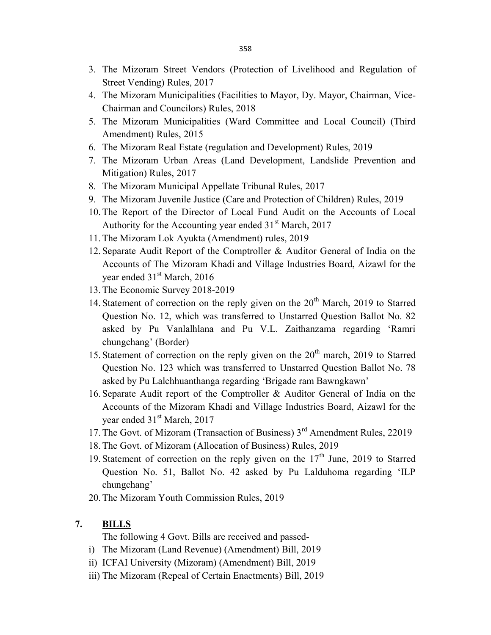- 3. The Mizoram Street Vendors (Protection of Livelihood and Regulation of Street Vending) Rules, 2017
- 4. The Mizoram Municipalities (Facilities to Mayor, Dy. Mayor, Chairman, Vice-Chairman and Councilors) Rules, 2018
- 5. The Mizoram Municipalities (Ward Committee and Local Council) (Third Amendment) Rules, 2015
- 6. The Mizoram Real Estate (regulation and Development) Rules, 2019
- 7. The Mizoram Urban Areas (Land Development, Landslide Prevention and Mitigation) Rules, 2017
- 8. The Mizoram Municipal Appellate Tribunal Rules, 2017
- 9. The Mizoram Juvenile Justice (Care and Protection of Children) Rules, 2019
- 10.The Report of the Director of Local Fund Audit on the Accounts of Local Authority for the Accounting year ended  $31<sup>st</sup>$  March, 2017
- 11.The Mizoram Lok Ayukta (Amendment) rules, 2019
- 12. Separate Audit Report of the Comptroller & Auditor General of India on the Accounts of The Mizoram Khadi and Village Industries Board, Aizawl for the year ended 31<sup>st</sup> March, 2016
- 13.The Economic Survey 2018-2019
- 14. Statement of correction on the reply given on the  $20<sup>th</sup>$  March, 2019 to Starred Question No. 12, which was transferred to Unstarred Question Ballot No. 82 asked by Pu Vanlalhlana and Pu V.L. Zaithanzama regarding 'Ramri chungchang' (Border)
- 15. Statement of correction on the reply given on the  $20<sup>th</sup>$  march, 2019 to Starred Question No. 123 which was transferred to Unstarred Question Ballot No. 78 asked by Pu Lalchhuanthanga regarding 'Brigade ram Bawngkawn'
- 16. Separate Audit report of the Comptroller & Auditor General of India on the Accounts of the Mizoram Khadi and Village Industries Board, Aizawl for the year ended 31<sup>st</sup> March, 2017
- 17. The Govt. of Mizoram (Transaction of Business) 3<sup>rd</sup> Amendment Rules, 22019
- 18.The Govt. of Mizoram (Allocation of Business) Rules, 2019
- 19. Statement of correction on the reply given on the  $17<sup>th</sup>$  June, 2019 to Starred Question No. 51, Ballot No. 42 asked by Pu Lalduhoma regarding 'ILP chungchang'
- 20.The Mizoram Youth Commission Rules, 2019

## 7. BILLS

The following 4 Govt. Bills are received and passed-

- i) The Mizoram (Land Revenue) (Amendment) Bill, 2019
- ii) ICFAI University (Mizoram) (Amendment) Bill, 2019
- iii) The Mizoram (Repeal of Certain Enactments) Bill, 2019